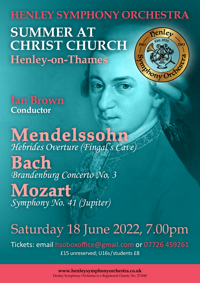### **HENLEY SYMPHONY ORCHESTRA SUMMER AT CHRIST CHURCH** าีริต **Henley-on-Thames**

bony Orche

**Ian Brown Conductor** 

**Mendelssohn** *Hebrides Overture (Fingal's Cave)* **Bach** *Brandenburg Concerto No. 3*

# **Mozart** *Symphony No. 41 (Jupiter)*

## Saturday 18 June 2022, 7.00pm

Tickets: email hsoboxoffice@gmail.com or 07726 459261 £15 unreserved; U16s / students £8

> **www.henleysymphonyorchestra.co.uk** Henley Symphony Orchestra is a Registered Charity No. 271849